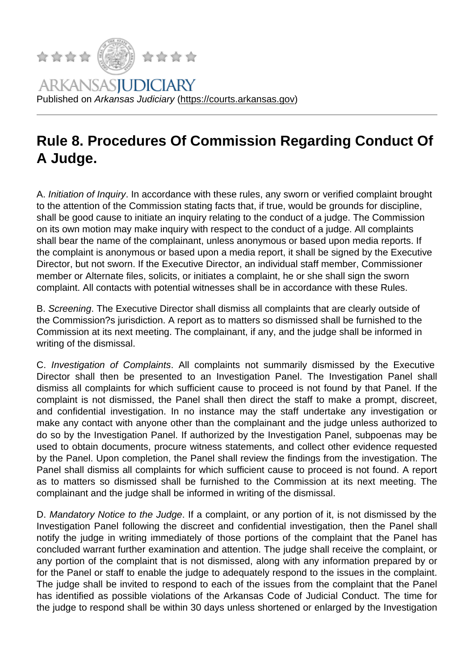## Rule 8. Procedures Of [Commission Rega](https://courts.arkansas.gov)rding Conduct Of A Judge.

A. Initiation of Inquiry. In accordance with these rules, any sworn or verified complaint brought to the attention of the Commission stating facts that, if true, would be grounds for discipline, shall be good cause to initiate an inquiry relating to the conduct of a judge. The Commission on its own motion may make inquiry with respect to the conduct of a judge. All complaints shall bear the name of the complainant, unless anonymous or based upon media reports. If the complaint is anonymous or based upon a media report, it shall be signed by the Executive Director, but not sworn. If the Executive Director, an individual staff member, Commissioner member or Alternate files, solicits, or initiates a complaint, he or she shall sign the sworn complaint. All contacts with potential witnesses shall be in accordance with these Rules.

B. Screening. The Executive Director shall dismiss all complaints that are clearly outside of the Commission?s jurisdiction. A report as to matters so dismissed shall be furnished to the Commission at its next meeting. The complainant, if any, and the judge shall be informed in writing of the dismissal.

C. Investigation of Complaints. All complaints not summarily dismissed by the Executive Director shall then be presented to an Investigation Panel. The Investigation Panel shall dismiss all complaints for which sufficient cause to proceed is not found by that Panel. If the complaint is not dismissed, the Panel shall then direct the staff to make a prompt, discreet, and confidential investigation. In no instance may the staff undertake any investigation or make any contact with anyone other than the complainant and the judge unless authorized to do so by the Investigation Panel. If authorized by the Investigation Panel, subpoenas may be used to obtain documents, procure witness statements, and collect other evidence requested by the Panel. Upon completion, the Panel shall review the findings from the investigation. The Panel shall dismiss all complaints for which sufficient cause to proceed is not found. A report as to matters so dismissed shall be furnished to the Commission at its next meeting. The complainant and the judge shall be informed in writing of the dismissal.

D. Mandatory Notice to the Judge. If a complaint, or any portion of it, is not dismissed by the Investigation Panel following the discreet and confidential investigation, then the Panel shall notify the judge in writing immediately of those portions of the complaint that the Panel has concluded warrant further examination and attention. The judge shall receive the complaint, or any portion of the complaint that is not dismissed, along with any information prepared by or for the Panel or staff to enable the judge to adequately respond to the issues in the complaint. The judge shall be invited to respond to each of the issues from the complaint that the Panel has identified as possible violations of the Arkansas Code of Judicial Conduct. The time for the judge to respond shall be within 30 days unless shortened or enlarged by the Investigation